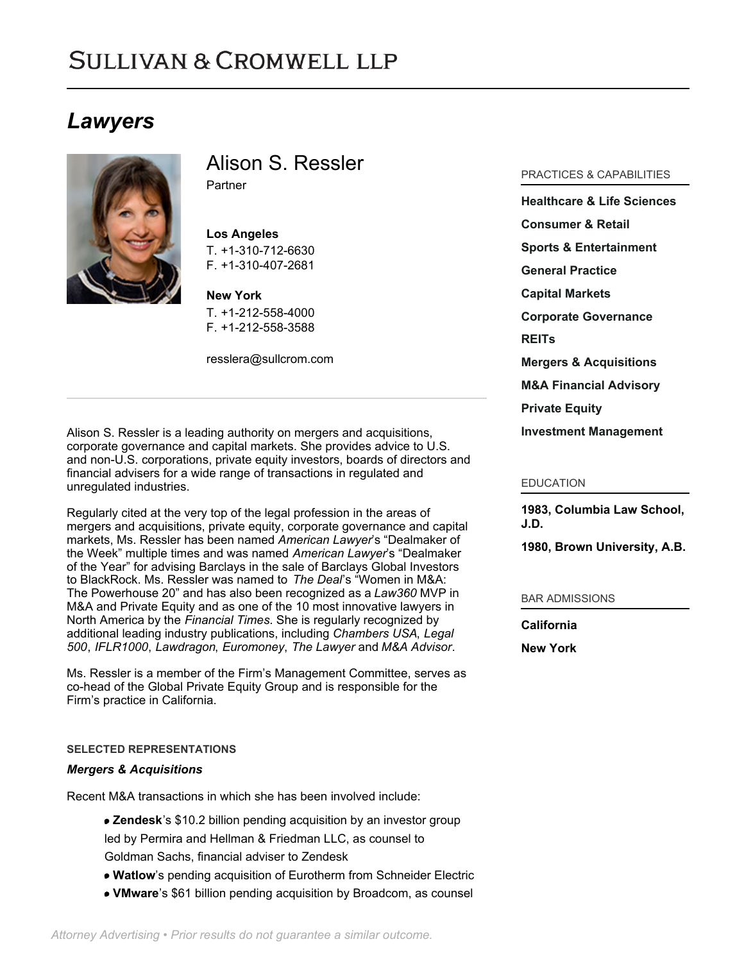# **SULLIVAN & CROMWELL LLP**

## *Lawyers*



Alison S. Ressler

Partner

**Los Angeles** T. [+1-310-712-6630](tel: +1-310-712-6630) F. [+1-310-407-2681](tel: +1-310-407-2681)

**New York** T. [+1-212-558-4000](tel:+1-212-558-4000) F. [+1-212-558-3588](tel:+1-212-558-3588)

[resslera@sullcrom.com](https://www.sullcrom.com/email-disclaimer?profsid=lawyers/AlisonS-Ressler)

Alison S. Ressler is a leading authority on mergers and acquisitions, corporate governance and capital markets. She provides advice to U.S. and non-U.S. corporations, private equity investors, boards of directors and financial advisers for a wide range of transactions in regulated and unregulated industries.

Regularly cited at the very top of the legal profession in the areas of mergers and acquisitions, private equity, corporate governance and capital markets, Ms. Ressler has been named *American Lawyer*'s "Dealmaker of the Week" multiple times and was named *American Lawyer*'s "Dealmaker of the Year" for advising Barclays in the sale of Barclays Global Investors to BlackRock. Ms. Ressler was named to *The Deal*'s "Women in M&A: The Powerhouse 20" and has also been recognized as a *Law360* MVP in M&A and Private Equity and as one of the 10 most innovative lawyers in North America by the *Financial Times*. She is regularly recognized by additional leading industry publications, including *Chambers USA*, *Legal 500*, *IFLR1000*, *Lawdragon*, *Euromoney*, *The Lawyer* and *M&A Advisor*.

Ms. Ressler is a member of the Firm's Management Committee, serves as co-head of the Global Private Equity Group and is responsible for the Firm's practice in California.

## **SELECTED REPRESENTATIONS**

## *Mergers & Acquisitions*

Recent M&A transactions in which she has been involved include:

- **Zendesk**'s \$10.2 billion pending acquisition by an investor group led by Permira and Hellman & Friedman LLC, as counsel to Goldman Sachs, financial adviser to Zendesk
- **Watlow**'s pending acquisition of Eurotherm from Schneider Electric
- **VMware**'s \$61 billion pending acquisition by Broadcom, as counsel

## PRACTICES & CAPABILITIES

**[Healthcare & Life Sciences](https://www.sullcrom.com/Healthcare-and-Life-Sciences-Practices) [Consumer & Retail](https://www.sullcrom.com/Consumer-and-Retail-Practices) [Sports & Entertainment](https://www.sullcrom.com/sports-and-entertainment) [General Practice](https://www.sullcrom.com/general-practice) [Capital Markets](https://www.sullcrom.com/capital-markets-practice) [Corporate Governance](https://www.sullcrom.com/Corporate-Governance-Practice) [REITs](https://www.sullcrom.com/commercialrealestate-reits) [Mergers & Acquisitions](https://www.sullcrom.com/Mergers--Acquisitions-Practices) [M&A Financial Advisory](https://www.sullcrom.com/manda-financial-advisory) [Private Equity](https://www.sullcrom.com/Private-Equity-Practices) [Investment Management](https://www.sullcrom.com/Investment-Management-Practices)**

#### EDUCATION

**1983, Columbia Law School, J.D.** 

**1980, Brown University, A.B.** 

#### BAR ADMISSIONS

**California New York**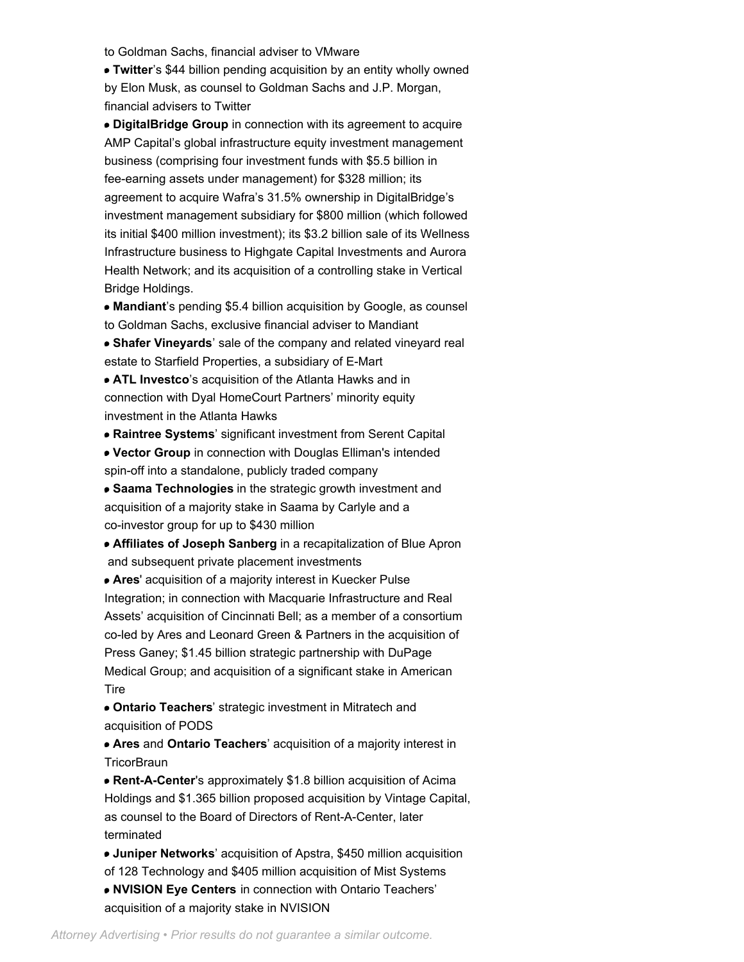to Goldman Sachs, financial adviser to VMware

**Twitter**'s \$44 billion pending acquisition by an entity wholly owned by Elon Musk, as counsel to Goldman Sachs and J.P. Morgan, financial advisers to Twitter

**DigitalBridge Group** in connection with its agreement to acquire AMP Capital's global infrastructure equity investment management business (comprising four investment funds with \$5.5 billion in fee-earning assets under management) for \$328 million; its agreement to acquire Wafra's 31.5% ownership in DigitalBridge's investment management subsidiary for \$800 million (which followed its initial \$400 million investment); its \$3.2 billion sale of its Wellness Infrastructure business to Highgate Capital Investments and Aurora Health Network; and its acquisition of a controlling stake in Vertical Bridge Holdings.

**Mandiant**'s pending \$5.4 billion acquisition by Google, as counsel to Goldman Sachs, exclusive financial adviser to Mandiant

**Shafer Vineyards**' sale of the company and related vineyard real estate to Starfield Properties, a subsidiary of E-Mart

**ATL Investco**'s acquisition of the Atlanta Hawks and in connection with Dyal HomeCourt Partners' minority equity investment in the Atlanta Hawks

**Raintree Systems**' significant investment from Serent Capital

**Vector Group** in connection with Douglas Elliman's intended spin-off into a standalone, publicly traded company

**Saama Technologies** in the strategic growth investment and acquisition of a majority stake in Saama by Carlyle and a co-investor group for up to \$430 million

**Affiliates of Joseph Sanberg** in a recapitalization of Blue Apron and subsequent private placement investments

**Ares**' acquisition of a majority interest in Kuecker Pulse Integration; in connection with Macquarie Infrastructure and Real Assets' acquisition of Cincinnati Bell; as a member of a consortium co-led by Ares and Leonard Green & Partners in the acquisition of Press Ganey; \$1.45 billion strategic partnership with DuPage Medical Group; and acquisition of a significant stake in American **Tire** 

**Ontario Teachers**' strategic investment in Mitratech and acquisition of PODS

**Ares** and **Ontario Teachers**' acquisition of a majority interest in **TricorBraun** 

**Rent-A-Center**'s approximately \$1.8 billion acquisition of Acima Holdings and \$1.365 billion proposed acquisition by Vintage Capital, as counsel to the Board of Directors of Rent-A-Center, later terminated

- **Juniper Networks**' acquisition of Apstra, \$450 million acquisition of 128 Technology and \$405 million acquisition of Mist Systems
- **NVISION Eye Centers** in connection with Ontario Teachers' acquisition of a majority stake in NVISION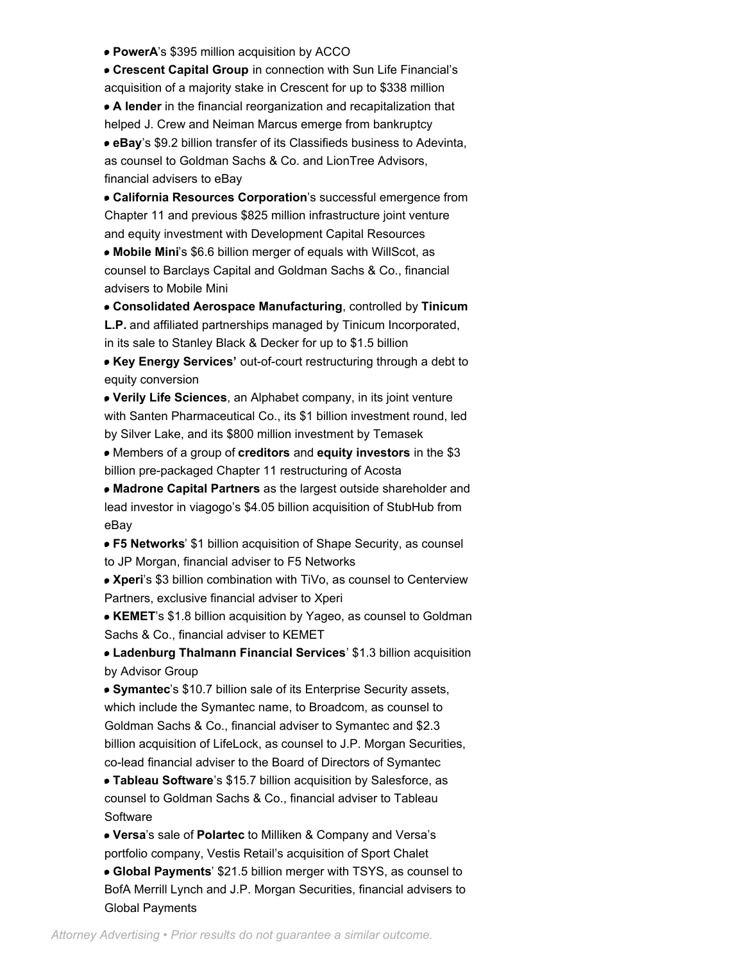**PowerA**'s \$395 million acquisition by ACCO

**Crescent Capital Group** in connection with Sun Life Financial's acquisition of a majority stake in Crescent for up to \$338 million

**A lender** in the financial reorganization and recapitalization that helped J. Crew and Neiman Marcus emerge from bankruptcy

**eBay**'s \$9.2 billion transfer of its Classifieds business to Adevinta, as counsel to Goldman Sachs & Co. and LionTree Advisors, financial advisers to eBay

**California Resources Corporation**'s successful emergence from Chapter 11 and previous \$825 million infrastructure joint venture and equity investment with Development Capital Resources

**Mobile Mini**'s \$6.6 billion merger of equals with WillScot, as counsel to Barclays Capital and Goldman Sachs & Co., financial advisers to Mobile Mini

**Consolidated Aerospace Manufacturing**, controlled by **Tinicum L.P.** and affiliated partnerships managed by Tinicum Incorporated,

in its sale to Stanley Black & Decker for up to \$1.5 billion

**Key Energy Services'** out-of-court restructuring through a debt to equity conversion

**Verily Life Sciences**, an Alphabet company, in its joint venture with Santen Pharmaceutical Co., its \$1 billion investment round, led by Silver Lake, and its \$800 million investment by Temasek

Members of a group of **creditors** and **equity investors** in the \$3 billion pre-packaged Chapter 11 restructuring of Acosta

**Madrone Capital Partners** as the largest outside shareholder and lead investor in viagogo's \$4.05 billion acquisition of StubHub from eBay

**F5 Networks**' \$1 billion acquisition of Shape Security, as counsel to JP Morgan, financial adviser to F5 Networks

**Xperi**'s \$3 billion combination with TiVo, as counsel to Centerview Partners, exclusive financial adviser to Xperi

**KEMET**'s \$1.8 billion acquisition by Yageo, as counsel to Goldman Sachs & Co., financial adviser to KEMET

**Ladenburg Thalmann Financial Services**' \$1.3 billion acquisition by Advisor Group

**Symantec**'s \$10.7 billion sale of its Enterprise Security assets, which include the Symantec name, to Broadcom, as counsel to Goldman Sachs & Co., financial adviser to Symantec and \$2.3 billion acquisition of LifeLock, as counsel to J.P. Morgan Securities, co-lead financial adviser to the Board of Directors of Symantec

**Tableau Software**'s \$15.7 billion acquisition by Salesforce, as counsel to Goldman Sachs & Co., financial adviser to Tableau **Software** 

**Versa**'s sale of **Polartec** to Milliken & Company and Versa's portfolio company, Vestis Retail's acquisition of Sport Chalet

**Global Payments**' \$21.5 billion merger with TSYS, as counsel to BofA Merrill Lynch and J.P. Morgan Securities, financial advisers to Global Payments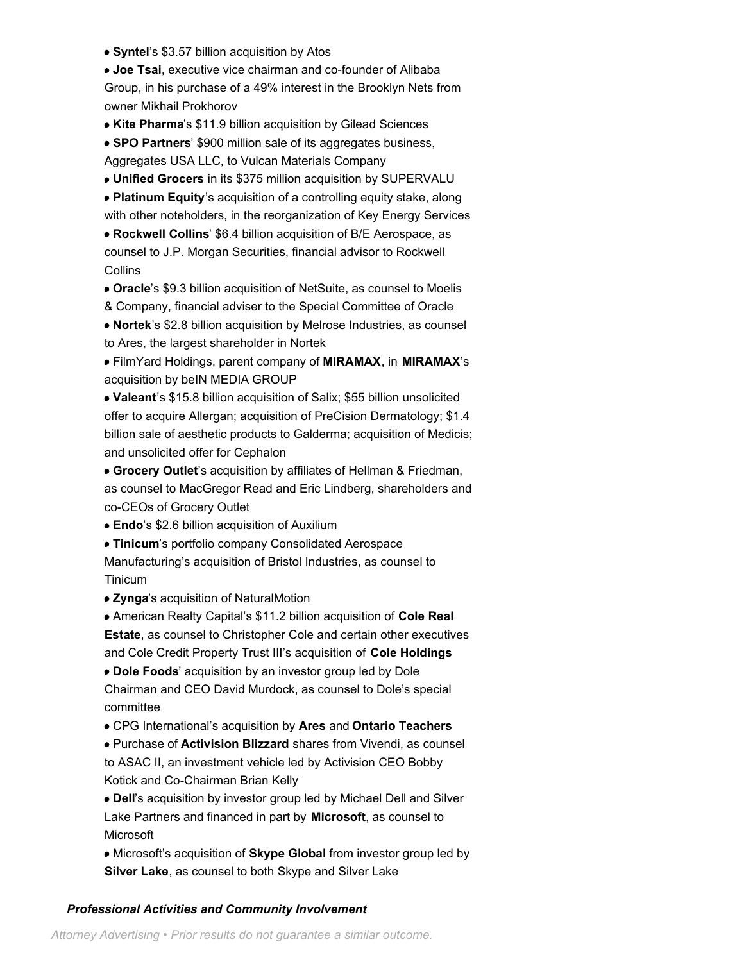**Syntel's \$3.57 billion acquisition by Atos** 

**Joe Tsai**, executive vice chairman and co-founder of Alibaba Group, in his purchase of a 49% interest in the Brooklyn Nets from owner Mikhail Prokhorov

- **Kite Pharma**'s \$11.9 billion acquisition by Gilead Sciences
- **SPO Partners' \$900 million sale of its aggregates business,**

Aggregates USA LLC, to Vulcan Materials Company

**Unified Grocers** in its \$375 million acquisition by SUPERVALU

**Platinum Equity**'s acquisition of a controlling equity stake, along with other noteholders, in the reorganization of Key Energy Services

**Rockwell Collins**' \$6.4 billion acquisition of B/E Aerospace, as counsel to J.P. Morgan Securities, financial advisor to Rockwell Collins

**Oracle**'s \$9.3 billion acquisition of NetSuite, as counsel to Moelis

& Company, financial adviser to the Special Committee of Oracle

**Nortek**'s \$2.8 billion acquisition by Melrose Industries, as counsel to Ares, the largest shareholder in Nortek

FilmYard Holdings, parent company of **MIRAMAX**, in **MIRAMAX**'s acquisition by beIN MEDIA GROUP

**Valeant**'s \$15.8 billion acquisition of Salix; \$55 billion unsolicited offer to acquire Allergan; acquisition of PreCision Dermatology; \$1.4 billion sale of aesthetic products to Galderma; acquisition of Medicis; and unsolicited offer for Cephalon

**Grocery Outlet**'s acquisition by affiliates of Hellman & Friedman, as counsel to MacGregor Read and Eric Lindberg, shareholders and co-CEOs of Grocery Outlet

**Endo**'s \$2.6 billion acquisition of Auxilium

**Tinicum**'s portfolio company Consolidated Aerospace

Manufacturing's acquisition of Bristol Industries, as counsel to Tinicum

**Zynga**'s acquisition of NaturalMotion

American Realty Capital's \$11.2 billion acquisition of **Cole Real Estate**, as counsel to Christopher Cole and certain other executives and Cole Credit Property Trust III's acquisition of **Cole Holdings**

**Dole Foods**' acquisition by an investor group led by Dole Chairman and CEO David Murdock, as counsel to Dole's special committee

CPG International's acquisition by **Ares** and **Ontario Teachers** 

Purchase of **Activision Blizzard** shares from Vivendi, as counsel to ASAC II, an investment vehicle led by Activision CEO Bobby Kotick and Co-Chairman Brian Kelly

**Dell**'s acquisition by investor group led by Michael Dell and Silver Lake Partners and financed in part by **Microsoft**, as counsel to **Microsoft** 

Microsoft's acquisition of **Skype Global** from investor group led by **Silver Lake**, as counsel to both Skype and Silver Lake

## *Professional Activities and Community Involvement*